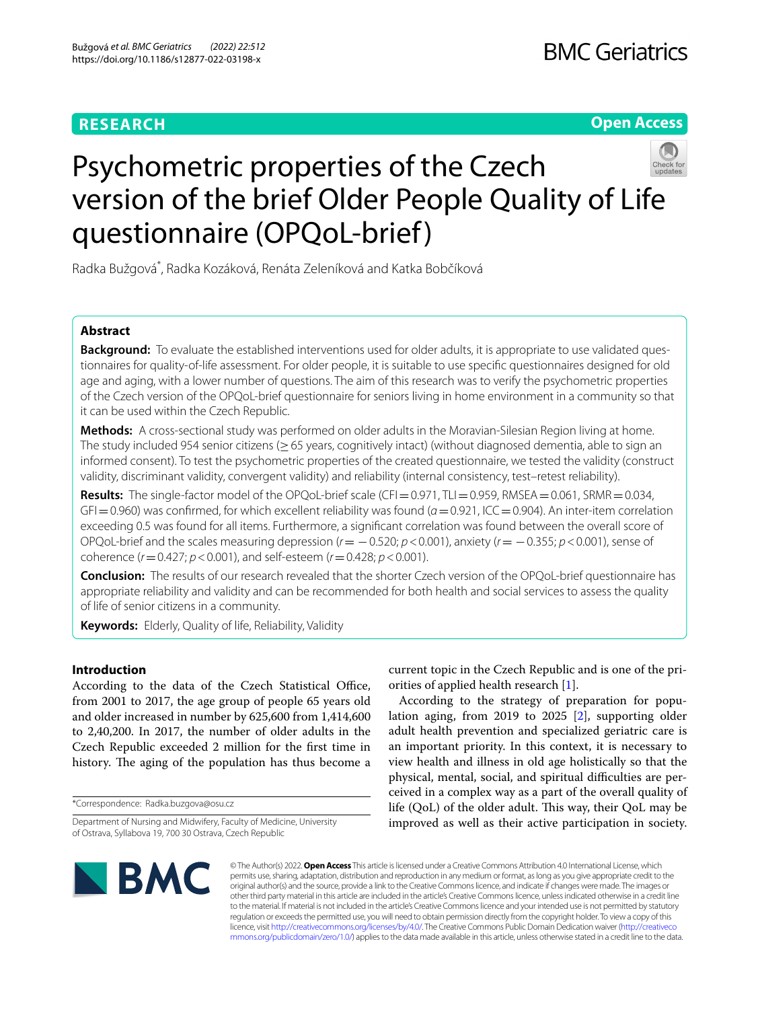# **RESEARCH**

**Open Access**

# Psychometric properties of the Czech version of the brief Older People Quality of Life questionnaire (OPQoL-brief)



Radka Bužgová<sup>\*</sup>, Radka Kozáková, Renáta Zeleníková and Katka Bobčíková

# **Abstract**

**Background:** To evaluate the established interventions used for older adults, it is appropriate to use validated questionnaires for quality-of-life assessment. For older people, it is suitable to use specifc questionnaires designed for old age and aging, with a lower number of questions. The aim of this research was to verify the psychometric properties of the Czech version of the OPQoL-brief questionnaire for seniors living in home environment in a community so that it can be used within the Czech Republic.

**Methods:** A cross-sectional study was performed on older adults in the Moravian-Silesian Region living at home. The study included 954 senior citizens (≥65 years, cognitively intact) (without diagnosed dementia, able to sign an informed consent). To test the psychometric properties of the created questionnaire, we tested the validity (construct validity, discriminant validity, convergent validity) and reliability (internal consistency, test–retest reliability).

Results: The single-factor model of the OPQoL-brief scale (CFI=0.971, TLI=0.959, RMSEA=0.061, SRMR=0.034, GFI=0.960) was confrmed, for which excellent reliability was found (*α*=0.921, ICC=0.904). An inter-item correlation exceeding 0.5 was found for all items. Furthermore, a signifcant correlation was found between the overall score of OPQoL-brief and the scales measuring depression (*r*= −0.520; *p*<0.001), anxiety (*r*= −0.355; *p*<0.001), sense of coherence (*r*=0.427; *p*<0.001), and self-esteem (*r*=0.428; *p*<0.001).

**Conclusion:** The results of our research revealed that the shorter Czech version of the OPQoL-brief questionnaire has appropriate reliability and validity and can be recommended for both health and social services to assess the quality of life of senior citizens in a community.

**Keywords:** Elderly, Quality of life, Reliability, Validity

# **Introduction**

According to the data of the Czech Statistical Office, from 2001 to 2017, the age group of people 65 years old and older increased in number by 625,600 from 1,414,600 to 2,40,200. In 2017, the number of older adults in the Czech Republic exceeded 2 million for the frst time in history. The aging of the population has thus become a

\*Correspondence: Radka.buzgova@osu.cz

current topic in the Czech Republic and is one of the priorities of applied health research [\[1](#page-8-0)].

According to the strategy of preparation for population aging, from 2019 to 2025 [[2\]](#page-8-1), supporting older adult health prevention and specialized geriatric care is an important priority. In this context, it is necessary to view health and illness in old age holistically so that the physical, mental, social, and spiritual difficulties are perceived in a complex way as a part of the overall quality of life (QoL) of the older adult. This way, their QoL may be improved as well as their active participation in society.



© The Author(s) 2022. **Open Access** This article is licensed under a Creative Commons Attribution 4.0 International License, which permits use, sharing, adaptation, distribution and reproduction in any medium or format, as long as you give appropriate credit to the original author(s) and the source, provide a link to the Creative Commons licence, and indicate if changes were made. The images or other third party material in this article are included in the article's Creative Commons licence, unless indicated otherwise in a credit line to the material. If material is not included in the article's Creative Commons licence and your intended use is not permitted by statutory regulation or exceeds the permitted use, you will need to obtain permission directly from the copyright holder. To view a copy of this licence, visit [http://creativecommons.org/licenses/by/4.0/.](http://creativecommons.org/licenses/by/4.0/) The Creative Commons Public Domain Dedication waiver ([http://creativeco](http://creativecommons.org/publicdomain/zero/1.0/) [mmons.org/publicdomain/zero/1.0/](http://creativecommons.org/publicdomain/zero/1.0/)) applies to the data made available in this article, unless otherwise stated in a credit line to the data.

Department of Nursing and Midwifery, Faculty of Medicine, University of Ostrava, Syllabova 19, 700 30 Ostrava, Czech Republic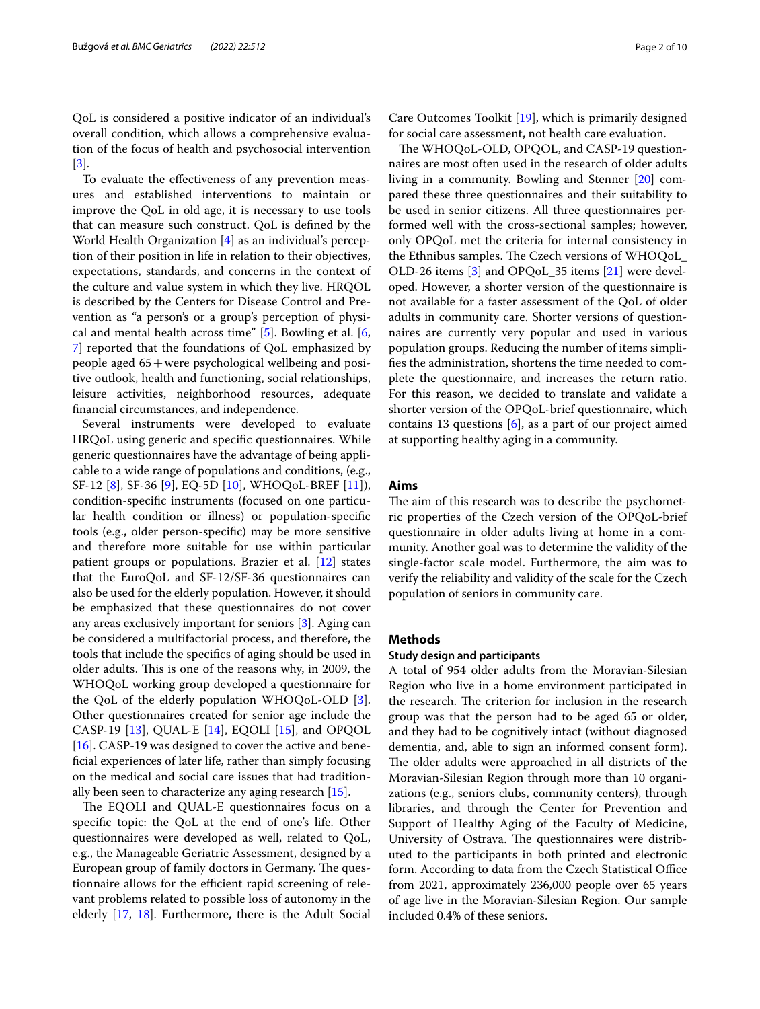QoL is considered a positive indicator of an individual's overall condition, which allows a comprehensive evaluation of the focus of health and psychosocial intervention [[3\]](#page-8-2).

To evaluate the efectiveness of any prevention measures and established interventions to maintain or improve the QoL in old age, it is necessary to use tools that can measure such construct. QoL is defned by the World Health Organization [[4\]](#page-8-3) as an individual's perception of their position in life in relation to their objectives, expectations, standards, and concerns in the context of the culture and value system in which they live. HRQOL is described by the Centers for Disease Control and Prevention as "a person's or a group's perception of physical and mental health across time" [[5\]](#page-8-4). Bowling et al. [\[6](#page-8-5), [7\]](#page-8-6) reported that the foundations of QoL emphasized by people aged 65+were psychological wellbeing and positive outlook, health and functioning, social relationships, leisure activities, neighborhood resources, adequate fnancial circumstances, and independence.

Several instruments were developed to evaluate HRQoL using generic and specifc questionnaires. While generic questionnaires have the advantage of being applicable to a wide range of populations and conditions, (e.g., SF-12 [\[8](#page-8-7)], SF-36 [\[9](#page-8-8)], EQ-5D [\[10](#page-8-9)], WHOQoL-BREF [\[11\]](#page-8-10)), condition-specifc instruments (focused on one particular health condition or illness) or population-specifc tools (e.g., older person-specifc) may be more sensitive and therefore more suitable for use within particular patient groups or populations. Brazier et al. [[12](#page-8-11)] states that the EuroQoL and SF-12/SF-36 questionnaires can also be used for the elderly population. However, it should be emphasized that these questionnaires do not cover any areas exclusively important for seniors [\[3](#page-8-2)]. Aging can be considered a multifactorial process, and therefore, the tools that include the specifcs of aging should be used in older adults. This is one of the reasons why, in 2009, the WHOQoL working group developed a questionnaire for the QoL of the elderly population WHOQoL-OLD [\[3](#page-8-2)]. Other questionnaires created for senior age include the CASP-19 [\[13](#page-8-12)], QUAL-E [[14\]](#page-8-13), EQOLI [[15](#page-8-14)], and OPQOL [ $16$ ]. CASP-19 was designed to cover the active and benefcial experiences of later life, rather than simply focusing on the medical and social care issues that had traditionally been seen to characterize any aging research [[15\]](#page-8-14).

The EQOLI and QUAL-E questionnaires focus on a specifc topic: the QoL at the end of one's life. Other questionnaires were developed as well, related to QoL, e.g., the Manageable Geriatric Assessment, designed by a European group of family doctors in Germany. The questionnaire allows for the efficient rapid screening of relevant problems related to possible loss of autonomy in the elderly [\[17](#page-8-16), [18](#page-8-17)]. Furthermore, there is the Adult Social

Care Outcomes Toolkit [\[19\]](#page-8-18), which is primarily designed for social care assessment, not health care evaluation.

The WHOQoL-OLD, OPQOL, and CASP-19 questionnaires are most often used in the research of older adults living in a community. Bowling and Stenner [\[20](#page-8-19)] compared these three questionnaires and their suitability to be used in senior citizens. All three questionnaires performed well with the cross-sectional samples; however, only OPQoL met the criteria for internal consistency in the Ethnibus samples. The Czech versions of WHOQoL\_ OLD-26 items [[3](#page-8-2)] and OPQoL\_35 items [[21](#page-8-20)] were developed. However, a shorter version of the questionnaire is not available for a faster assessment of the QoL of older adults in community care. Shorter versions of questionnaires are currently very popular and used in various population groups. Reducing the number of items simplifes the administration, shortens the time needed to complete the questionnaire, and increases the return ratio. For this reason, we decided to translate and validate a shorter version of the OPQoL-brief questionnaire, which contains 13 questions  $[6]$  $[6]$ , as a part of our project aimed at supporting healthy aging in a community.

#### **Aims**

The aim of this research was to describe the psychometric properties of the Czech version of the OPQoL-brief questionnaire in older adults living at home in a community. Another goal was to determine the validity of the single-factor scale model. Furthermore, the aim was to verify the reliability and validity of the scale for the Czech population of seniors in community care.

# **Methods**

## **Study design and participants**

A total of 954 older adults from the Moravian-Silesian Region who live in a home environment participated in the research. The criterion for inclusion in the research group was that the person had to be aged 65 or older, and they had to be cognitively intact (without diagnosed dementia, and, able to sign an informed consent form). The older adults were approached in all districts of the Moravian-Silesian Region through more than 10 organizations (e.g., seniors clubs, community centers), through libraries, and through the Center for Prevention and Support of Healthy Aging of the Faculty of Medicine, University of Ostrava. The questionnaires were distributed to the participants in both printed and electronic form. According to data from the Czech Statistical Office from 2021, approximately 236,000 people over 65 years of age live in the Moravian-Silesian Region. Our sample included 0.4% of these seniors.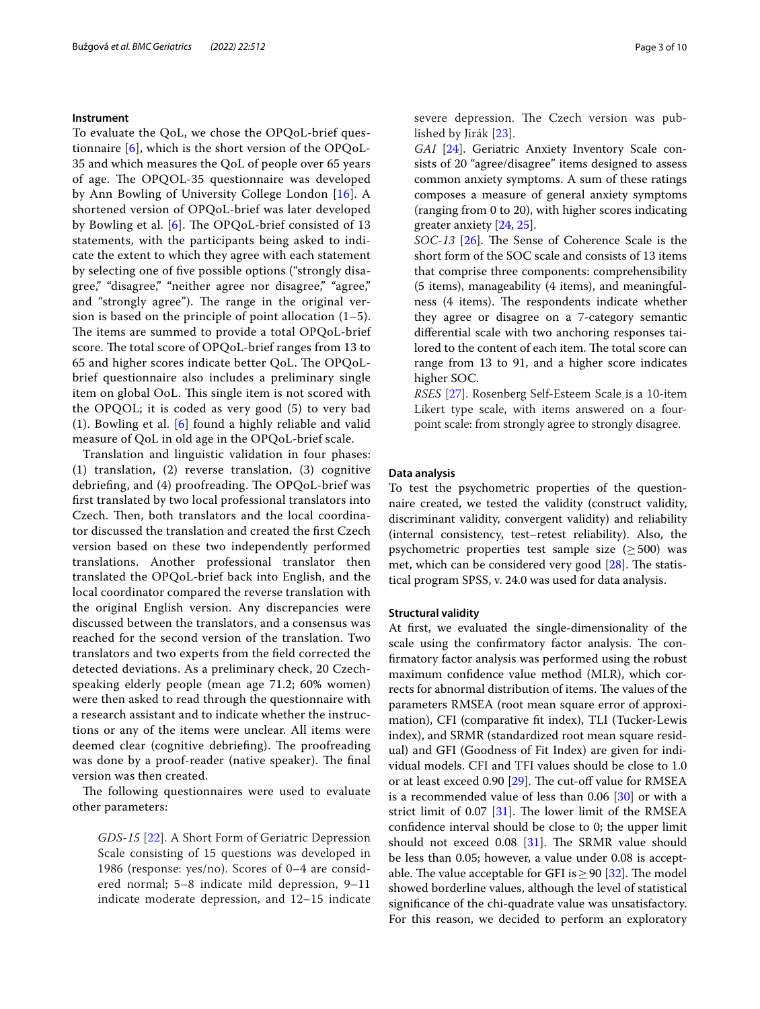#### **Instrument**

To evaluate the QoL, we chose the OPQoL-brief questionnaire [\[6](#page-8-5)], which is the short version of the OPQoL-35 and which measures the QoL of people over 65 years of age. The OPQOL-35 questionnaire was developed by Ann Bowling of University College London [\[16](#page-8-15)]. A shortened version of OPQoL-brief was later developed by Bowling et al.  $[6]$  $[6]$ . The OPQoL-brief consisted of 13 statements, with the participants being asked to indicate the extent to which they agree with each statement by selecting one of fve possible options ("strongly disagree," "disagree," "neither agree nor disagree," "agree," and "strongly agree"). The range in the original version is based on the principle of point allocation (1–5). The items are summed to provide a total OPQoL-brief score. The total score of OPQoL-brief ranges from 13 to 65 and higher scores indicate better QoL. The OPQoLbrief questionnaire also includes a preliminary single item on global OoL. This single item is not scored with the OPQOL; it is coded as very good (5) to very bad (1). Bowling et al. [[6\]](#page-8-5) found a highly reliable and valid measure of QoL in old age in the OPQoL-brief scale.

Translation and linguistic validation in four phases: (1) translation, (2) reverse translation, (3) cognitive debriefing, and (4) proofreading. The OPQoL-brief was frst translated by two local professional translators into Czech. Then, both translators and the local coordinator discussed the translation and created the frst Czech version based on these two independently performed translations. Another professional translator then translated the OPQoL-brief back into English, and the local coordinator compared the reverse translation with the original English version. Any discrepancies were discussed between the translators, and a consensus was reached for the second version of the translation. Two translators and two experts from the feld corrected the detected deviations. As a preliminary check, 20 Czechspeaking elderly people (mean age 71.2; 60% women) were then asked to read through the questionnaire with a research assistant and to indicate whether the instructions or any of the items were unclear. All items were deemed clear (cognitive debriefing). The proofreading was done by a proof-reader (native speaker). The final version was then created.

The following questionnaires were used to evaluate other parameters:

*GDS-15* [[22\]](#page-8-21). A Short Form of Geriatric Depression Scale consisting of 15 questions was developed in 1986 (response: yes/no). Scores of 0–4 are considered normal; 5–8 indicate mild depression, 9–11 indicate moderate depression, and 12–15 indicate

severe depression. The Czech version was published by Jirák [[23\]](#page-8-22).

*GAI* [[24\]](#page-9-0). Geriatric Anxiety Inventory Scale consists of 20 "agree/disagree" items designed to assess common anxiety symptoms. A sum of these ratings composes a measure of general anxiety symptoms (ranging from 0 to 20), with higher scores indicating greater anxiety [[24,](#page-9-0) [25](#page-9-1)].

*SOC-13* [[26\]](#page-9-2). The Sense of Coherence Scale is the short form of the SOC scale and consists of 13 items that comprise three components: comprehensibility (5 items), manageability (4 items), and meaningfulness (4 items). The respondents indicate whether they agree or disagree on a 7-category semantic diferential scale with two anchoring responses tailored to the content of each item. The total score can range from 13 to 91, and a higher score indicates higher SOC.

*RSES* [\[27\]](#page-9-3). Rosenberg Self-Esteem Scale is a 10-item Likert type scale, with items answered on a fourpoint scale: from strongly agree to strongly disagree.

#### **Data analysis**

To test the psychometric properties of the questionnaire created, we tested the validity (construct validity, discriminant validity, convergent validity) and reliability (internal consistency, test–retest reliability). Also, the psychometric properties test sample size  $(\geq 500)$  was met, which can be considered very good  $[28]$  $[28]$ . The statistical program SPSS, v. 24.0 was used for data analysis.

#### **Structural validity**

At frst, we evaluated the single-dimensionality of the scale using the confirmatory factor analysis. The confrmatory factor analysis was performed using the robust maximum confdence value method (MLR), which corrects for abnormal distribution of items. The values of the parameters RMSEA (root mean square error of approximation), CFI (comparative ft index), TLI (Tucker-Lewis index), and SRMR (standardized root mean square residual) and GFI (Goodness of Fit Index) are given for individual models. CFI and TFI values should be close to 1.0 or at least exceed 0.90 [\[29\]](#page-9-5). The cut-off value for RMSEA is a recommended value of less than 0.06 [\[30\]](#page-9-6) or with a strict limit of  $0.07$  [[31\]](#page-9-7). The lower limit of the RMSEA confdence interval should be close to 0; the upper limit should not exceed  $0.08$  [\[31](#page-9-7)]. The SRMR value should be less than 0.05; however, a value under 0.08 is acceptable. The value acceptable for GFI is  $\geq$  90 [\[32](#page-9-8)]. The model showed borderline values, although the level of statistical signifcance of the chi-quadrate value was unsatisfactory. For this reason, we decided to perform an exploratory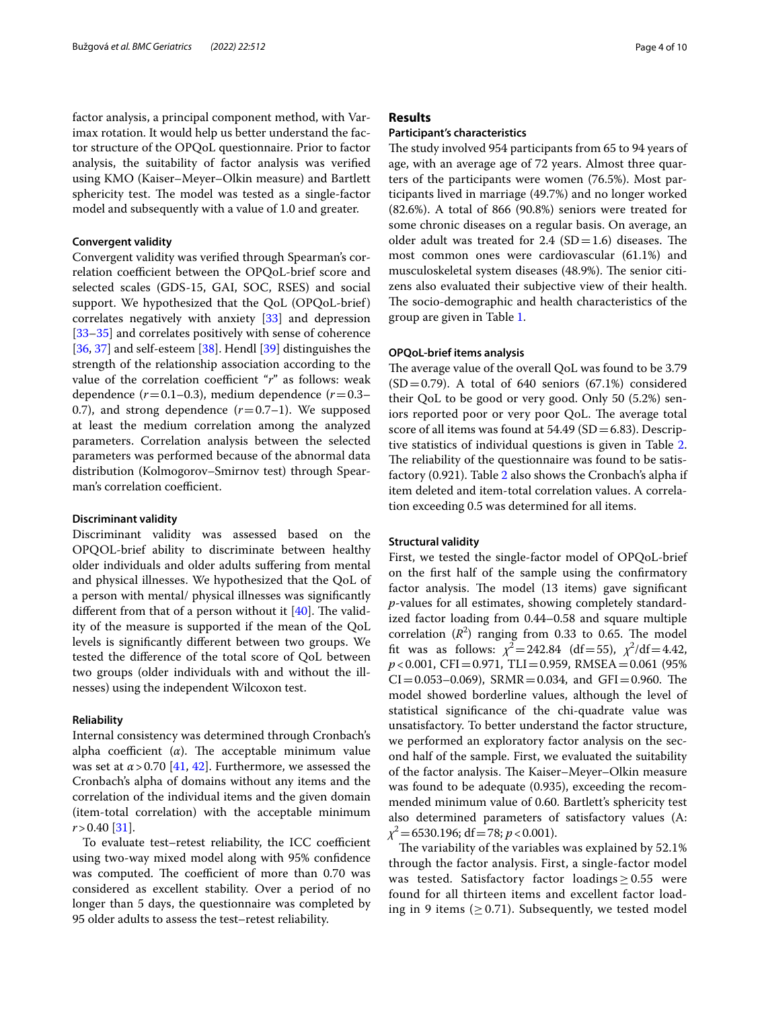factor analysis, a principal component method, with Varimax rotation. It would help us better understand the factor structure of the OPQoL questionnaire. Prior to factor analysis, the suitability of factor analysis was verifed using KMO (Kaiser–Meyer–Olkin measure) and Bartlett sphericity test. The model was tested as a single-factor model and subsequently with a value of 1.0 and greater.

#### **Convergent validity**

Convergent validity was verifed through Spearman's correlation coefficient between the OPQoL-brief score and selected scales (GDS-15, GAI, SOC, RSES) and social support. We hypothesized that the QoL (OPQoL-brief) correlates negatively with anxiety [\[33](#page-9-9)] and depression [[33–](#page-9-9)[35](#page-9-10)] and correlates positively with sense of coherence [[36,](#page-9-11) [37](#page-9-12)] and self-esteem [\[38](#page-9-13)]. Hendl [[39](#page-9-14)] distinguishes the strength of the relationship association according to the value of the correlation coefficient "*r*" as follows: weak dependence  $(r=0.1-0.3)$ , medium dependence  $(r=0.3-0.3)$ 0.7), and strong dependence  $(r=0.7-1)$ . We supposed at least the medium correlation among the analyzed parameters. Correlation analysis between the selected parameters was performed because of the abnormal data distribution (Kolmogorov–Smirnov test) through Spearman's correlation coefficient.

#### **Discriminant validity**

Discriminant validity was assessed based on the OPQOL-brief ability to discriminate between healthy older individuals and older adults sufering from mental and physical illnesses. We hypothesized that the QoL of a person with mental/ physical illnesses was signifcantly different from that of a person without it  $[40]$  $[40]$ . The validity of the measure is supported if the mean of the QoL levels is signifcantly diferent between two groups. We tested the diference of the total score of QoL between two groups (older individuals with and without the illnesses) using the independent Wilcoxon test.

#### **Reliability**

Internal consistency was determined through Cronbach's alpha coefficient  $(\alpha)$ . The acceptable minimum value was set at  $\alpha$  > 0.70 [[41,](#page-9-16) [42\]](#page-9-17). Furthermore, we assessed the Cronbach's alpha of domains without any items and the correlation of the individual items and the given domain (item-total correlation) with the acceptable minimum *r*>0.40 [[31\]](#page-9-7).

To evaluate test-retest reliability, the ICC coefficient using two-way mixed model along with 95% confdence was computed. The coefficient of more than 0.70 was considered as excellent stability. Over a period of no longer than 5 days, the questionnaire was completed by 95 older adults to assess the test–retest reliability.

# **Results**

## **Participant's characteristics**

The study involved 954 participants from 65 to 94 years of age, with an average age of 72 years. Almost three quarters of the participants were women (76.5%). Most participants lived in marriage (49.7%) and no longer worked (82.6%). A total of 866 (90.8%) seniors were treated for some chronic diseases on a regular basis. On average, an older adult was treated for 2.4  $SD=1.6$ ) diseases. The most common ones were cardiovascular (61.1%) and musculoskeletal system diseases (48.9%). The senior citizens also evaluated their subjective view of their health. The socio-demographic and health characteristics of the group are given in Table [1](#page-4-0).

# **OPQoL‑brief items analysis**

The average value of the overall QoL was found to be 3.79  $(SD=0.79)$ . A total of 640 seniors (67.1%) considered their QoL to be good or very good. Only 50 (5.2%) seniors reported poor or very poor QoL. The average total score of all items was found at  $54.49$  (SD = 6.83). Descriptive statistics of individual questions is given in Table [2](#page-5-0). The reliability of the questionnaire was found to be satisfactory (0.921). Table [2](#page-5-0) also shows the Cronbach's alpha if item deleted and item-total correlation values. A correlation exceeding 0.5 was determined for all items.

#### **Structural validity**

First, we tested the single-factor model of OPQoL-brief on the frst half of the sample using the confrmatory factor analysis. The model (13 items) gave significant *p*-values for all estimates, showing completely standardized factor loading from 0.44–0.58 and square multiple correlation  $(R^2)$  ranging from 0.33 to 0.65. The model fit was as follows:  $\chi^2$  = 242.84 (df = 55),  $\chi^2$ /df = 4.42, *p*<0.001, CFI=0.971, TLI=0.959, RMSEA=0.061 (95% CI=0.053-0.069), SRMR=0.034, and GFI=0.960. The model showed borderline values, although the level of statistical signifcance of the chi-quadrate value was unsatisfactory. To better understand the factor structure, we performed an exploratory factor analysis on the second half of the sample. First, we evaluated the suitability of the factor analysis. The Kaiser–Meyer–Olkin measure was found to be adequate (0.935), exceeding the recommended minimum value of 0.60. Bartlett's sphericity test also determined parameters of satisfactory values (A: *χ*<sup>2</sup>=6530.196; df=78; *p*<0.001).

The variability of the variables was explained by 52.1% through the factor analysis. First, a single-factor model was tested. Satisfactory factor loadings  $\geq$  0.55 were found for all thirteen items and excellent factor loading in 9 items ( $\geq$  0.71). Subsequently, we tested model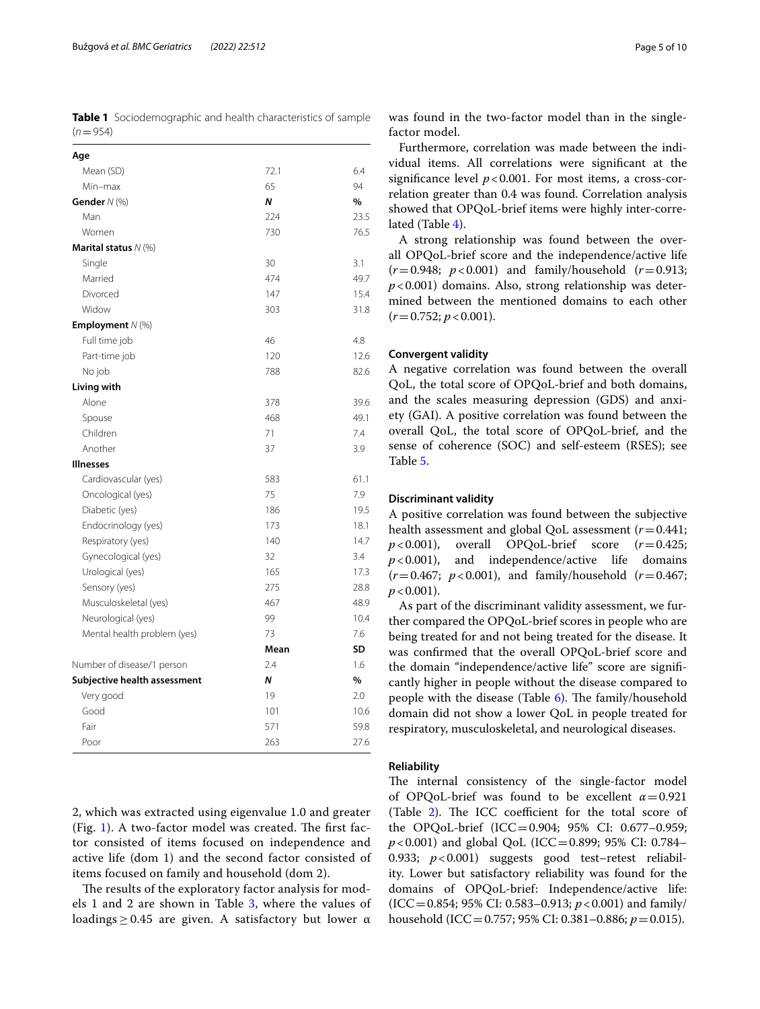<span id="page-4-0"></span>**Table 1** Sociodemographic and health characteristics of sample  $(n=954)$ 

| Age                          |      |      |
|------------------------------|------|------|
| Mean (SD)                    | 72.1 | 6.4  |
| Min-max                      | 65   | 94   |
| Gender $N$ (%)               | N    | $\%$ |
| Man                          | 224  | 23.5 |
| Women                        | 730  | 76.5 |
| Marital status $N$ (%)       |      |      |
| Single                       | 30   | 3.1  |
| Married                      | 474  | 49.7 |
| Divorced                     | 147  | 15.4 |
| Widow                        | 303  | 31.8 |
| <b>Employment</b> $N$ (%)    |      |      |
| Full time job                | 46   | 4.8  |
| Part-time job                | 120  | 12.6 |
| No job                       | 788  | 82.6 |
| Living with                  |      |      |
| Alone                        | 378  | 39.6 |
| Spouse                       | 468  | 49.1 |
| Children                     | 71   | 7.4  |
| Another                      | 37   | 3.9  |
| <b>Illnesses</b>             |      |      |
| Cardiovascular (yes)         | 583  | 61.1 |
| Oncological (yes)            | 75   | 7.9  |
| Diabetic (yes)               | 186  | 19.5 |
| Endocrinology (yes)          | 173  | 18.1 |
| Respiratory (yes)            | 140  | 14.7 |
| Gynecological (yes)          | 32   | 3.4  |
| Urological (yes)             | 165  | 17.3 |
| Sensory (yes)                | 275  | 28.8 |
| Musculoskeletal (yes)        | 467  | 48.9 |
| Neurological (yes)           | 99   | 10.4 |
| Mental health problem (yes)  | 73   | 7.6  |
|                              | Mean | SD   |
| Number of disease/1 person   | 2.4  | 1.6  |
| Subjective health assessment | N    | %    |
| Very good                    | 19   | 2.0  |
| Good                         | 101  | 10.6 |
| Fair                         | 571  | 59.8 |
| Poor                         | 263  | 27.6 |

2, which was extracted using eigenvalue 1.0 and greater (Fig. [1\)](#page-5-1). A two-factor model was created. The first factor consisted of items focused on independence and active life (dom 1) and the second factor consisted of items focused on family and household (dom 2).

The results of the exploratory factor analysis for models 1 and 2 are shown in Table  $3$ , where the values of loadings  $\geq$  0.45 are given. A satisfactory but lower  $\alpha$ 

was found in the two-factor model than in the singlefactor model.

Furthermore, correlation was made between the individual items. All correlations were signifcant at the significance level  $p < 0.001$ . For most items, a cross-correlation greater than 0.4 was found. Correlation analysis showed that OPQoL-brief items were highly inter-correlated (Table [4\)](#page-6-1).

A strong relationship was found between the overall OPQoL-brief score and the independence/active life (*r*=0.948; *p*<0.001) and family/household (*r*=0.913; *p*<0.001) domains. Also, strong relationship was determined between the mentioned domains to each other  $(r=0.752; p<0.001)$ .

# **Convergent validity**

A negative correlation was found between the overall QoL, the total score of OPQoL-brief and both domains, and the scales measuring depression (GDS) and anxiety (GAI). A positive correlation was found between the overall QoL, the total score of OPQoL-brief, and the sense of coherence (SOC) and self-esteem (RSES); see Table [5](#page-7-0).

#### **Discriminant validity**

A positive correlation was found between the subjective health assessment and global QoL assessment  $(r=0.441; p < 0.001)$ , overall OPQoL-brief score  $(r=0.425;$ overall OPQoL-brief score *p*<0.001), and independence/active life domains (*r*=0.467; *p*<0.001), and family/household (*r*=0.467;  $p < 0.001$ ).

As part of the discriminant validity assessment, we further compared the OPQoL-brief scores in people who are being treated for and not being treated for the disease. It was confrmed that the overall OPQoL-brief score and the domain "independence/active life" score are signifcantly higher in people without the disease compared to people with the disease (Table  $6$ ). The family/household domain did not show a lower QoL in people treated for respiratory, musculoskeletal, and neurological diseases.

## **Reliability**

The internal consistency of the single-factor model of OPQoL-brief was found to be excellent *α*=0.921 (Table [2\)](#page-5-0). The ICC coefficient for the total score of the OPQoL-brief (ICC=0.904; 95% CI: 0.677–0.959; *p*<0.001) and global QoL (ICC=0.899; 95% CI: 0.784– 0.933; *p*<0.001) suggests good test–retest reliability. Lower but satisfactory reliability was found for the domains of OPQoL-brief: Independence/active life: (ICC=0.854; 95% CI: 0.583–0.913; *p*<0.001) and family/ household (ICC=0.757; 95% CI: 0.381–0.886; *p*=0.015).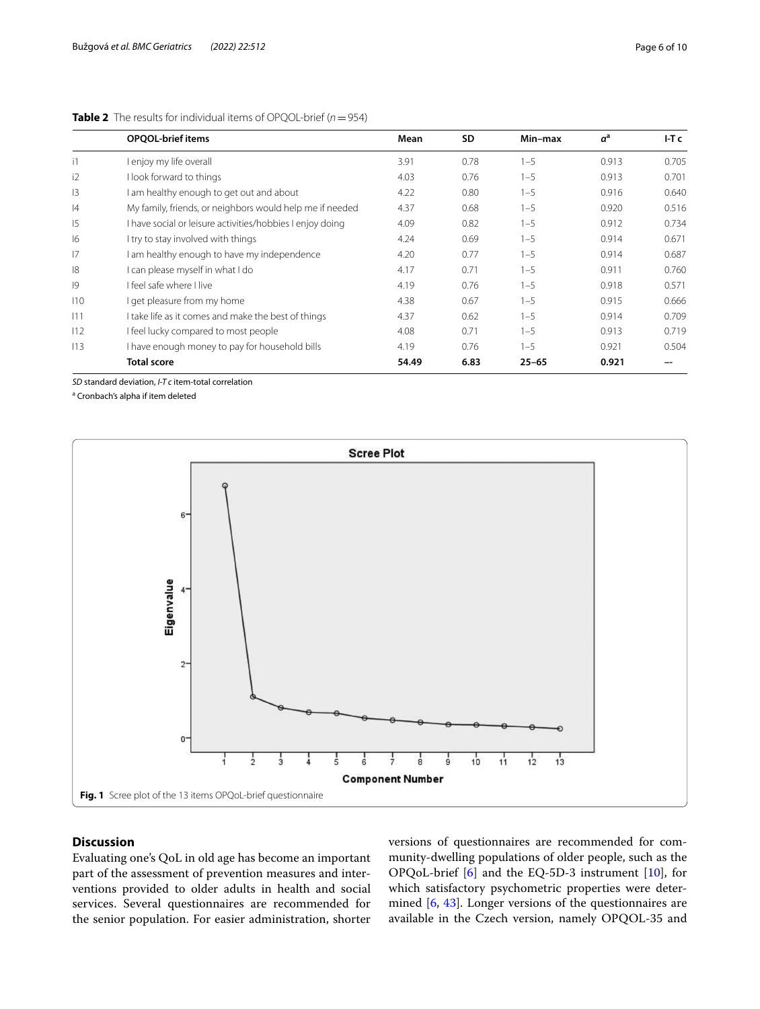|                | <b>OPQOL-brief items</b>                                  | Mean  | <b>SD</b> | Min-max   | $a^a$ | FT <sub>c</sub> |
|----------------|-----------------------------------------------------------|-------|-----------|-----------|-------|-----------------|
| i1             | enjoy my life overall                                     | 3.91  | 0.78      | $1 - 5$   | 0.913 | 0.705           |
| i2             | I look forward to things                                  | 4.03  | 0.76      | $1 - 5$   | 0.913 | 0.701           |
| 3              | I am healthy enough to get out and about                  | 4.22  | 0.80      | $1 - 5$   | 0.916 | 0.640           |
| 4              | My family, friends, or neighbors would help me if needed  | 4.37  | 0.68      | $1 - 5$   | 0.920 | 0.516           |
| $\overline{5}$ | I have social or leisure activities/hobbies I enjoy doing | 4.09  | 0.82      | $1 - 5$   | 0.912 | 0.734           |
| 6              | I try to stay involved with things                        | 4.24  | 0.69      | $1 - 5$   | 0.914 | 0.671           |
| 17             | I am healthy enough to have my independence               | 4.20  | 0.77      | $1 - 5$   | 0.914 | 0.687           |
| 8              | I can please myself in what I do                          | 4.17  | 0.71      | $1 - 5$   | 0.911 | 0.760           |
| 9              | I feel safe where I live                                  | 4.19  | 0.76      | $1 - 5$   | 0.918 | 0.571           |
| 110            | I get pleasure from my home                               | 4.38  | 0.67      | $1 - 5$   | 0.915 | 0.666           |
| 111            | I take life as it comes and make the best of things       | 4.37  | 0.62      | $1 - 5$   | 0.914 | 0.709           |
| 112            | I feel lucky compared to most people                      | 4.08  | 0.71      | $1 - 5$   | 0.913 | 0.719           |
| 113            | I have enough money to pay for household bills            | 4.19  | 0.76      | $1 - 5$   | 0.921 | 0.504           |
|                | <b>Total score</b>                                        | 54.49 | 6.83      | $25 - 65$ | 0.921 |                 |

## <span id="page-5-0"></span>**Table 2** The results for individual items of OPQOL-brief  $(n = 954)$

*SD* standard deviation, *I-T c* item-total correlation

<sup>a</sup> Cronbach's alpha if item deleted



# <span id="page-5-1"></span>**Discussion**

Evaluating one's QoL in old age has become an important part of the assessment of prevention measures and interventions provided to older adults in health and social services. Several questionnaires are recommended for the senior population. For easier administration, shorter versions of questionnaires are recommended for community-dwelling populations of older people, such as the OPQoL-brief [\[6](#page-8-5)] and the EQ-5D-3 instrument [[10\]](#page-8-9), for which satisfactory psychometric properties were determined [\[6](#page-8-5), [43\]](#page-9-18). Longer versions of the questionnaires are available in the Czech version, namely OPQOL-35 and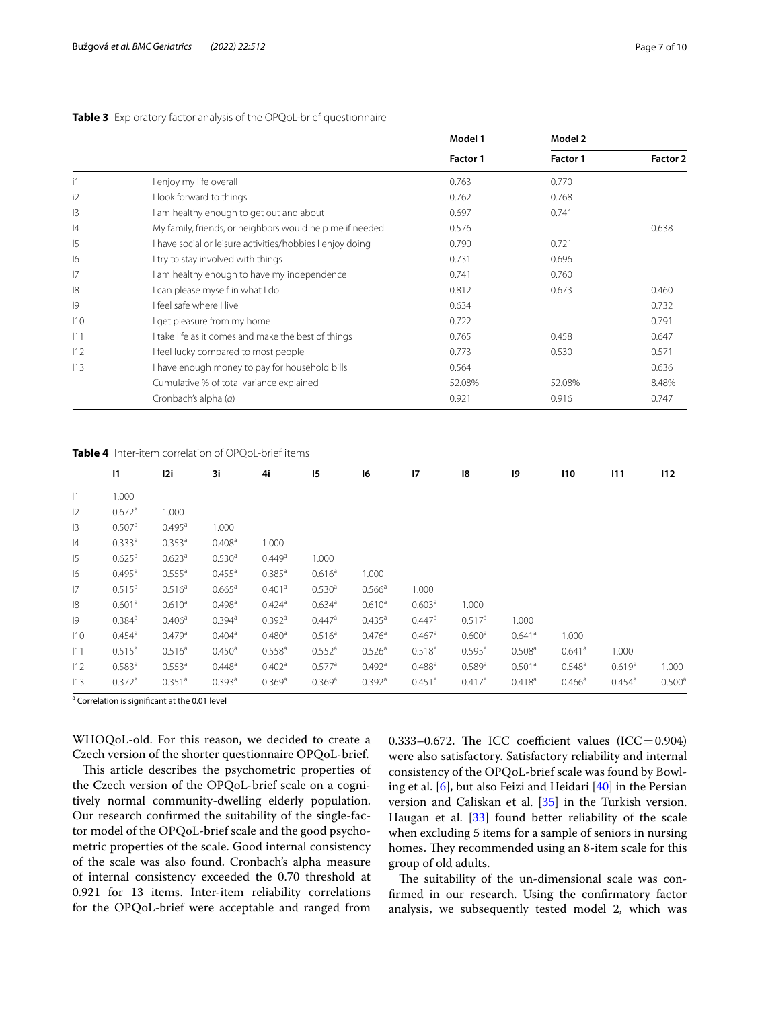|                |                                                           | Model 1  | Model 2  |          |  |
|----------------|-----------------------------------------------------------|----------|----------|----------|--|
|                |                                                           | Factor 1 | Factor 1 | Factor 2 |  |
| $\overline{1}$ | enjoy my life overall                                     | 0.763    | 0.770    |          |  |
| i2             | I look forward to things                                  | 0.762    | 0.768    |          |  |
| 3              | am healthy enough to get out and about                    | 0.697    | 0.741    |          |  |
| 4              | My family, friends, or neighbors would help me if needed  | 0.576    |          | 0.638    |  |
| 15             | I have social or leisure activities/hobbies I enjoy doing | 0.790    | 0.721    |          |  |
| 16             | I try to stay involved with things                        | 0.731    | 0.696    |          |  |
| 17             | am healthy enough to have my independence                 | 0.741    | 0.760    |          |  |
| 8              | can please myself in what I do                            | 0.812    | 0.673    | 0.460    |  |
| 9              | I feel safe where I live                                  | 0.634    |          | 0.732    |  |
| 110            | I get pleasure from my home                               | 0.722    |          | 0.791    |  |
| 111            | I take life as it comes and make the best of things       | 0.765    | 0.458    | 0.647    |  |
| 112            | I feel lucky compared to most people                      | 0.773    | 0.530    | 0.571    |  |
| 113            | I have enough money to pay for household bills            | 0.564    |          | 0.636    |  |
|                | Cumulative % of total variance explained                  | 52.08%   | 52.08%   | 8.48%    |  |
|                | Cronbach's alpha (a)                                      | 0.921    | 0.916    | 0.747    |  |

# <span id="page-6-0"></span>**Table 3** Exploratory factor analysis of the OPQoL-brief questionnaire

<span id="page-6-1"></span>**Table 4** Inter-item correlation of OPQoL-brief items

|     | $\mathsf{I}$         | I2i                  | 3i                   | 4i                   | 15                   | 16                   | 17                   | 18                   | 19                   | 110                  | 111                | 112                |
|-----|----------------------|----------------------|----------------------|----------------------|----------------------|----------------------|----------------------|----------------------|----------------------|----------------------|--------------------|--------------------|
| 1   | 1.000                |                      |                      |                      |                      |                      |                      |                      |                      |                      |                    |                    |
| 12  | $0.672$ <sup>a</sup> | 1.000                |                      |                      |                      |                      |                      |                      |                      |                      |                    |                    |
| 13  | 0.507a               | 0.495a               | 1.000                |                      |                      |                      |                      |                      |                      |                      |                    |                    |
| 4   | $0.333^{a}$          | 0.353 <sup>a</sup>   | 0.408 <sup>a</sup>   | 1.000                |                      |                      |                      |                      |                      |                      |                    |                    |
| 15  | 0.625 <sup>a</sup>   | 0.623 <sup>a</sup>   | 0.530 <sup>a</sup>   | 0.449a               | 1.000                |                      |                      |                      |                      |                      |                    |                    |
| 16  | $0.495^{\text{a}}$   | 0.555 <sup>a</sup>   | $0.455^{\circ}$      | $0.385^{a}$          | 0.616 <sup>a</sup>   | 1.000                |                      |                      |                      |                      |                    |                    |
| 17  | 0.515 <sup>a</sup>   | 0.516 <sup>a</sup>   | $0.665^{\text{a}}$   | 0.401a               | 0.530 <sup>a</sup>   | $0.566^{\text{a}}$   | 1.000                |                      |                      |                      |                    |                    |
| 8   | 0.601 <sup>a</sup>   | 0.610 <sup>a</sup>   | $0.498^{\text{a}}$   | $0.424$ <sup>a</sup> | $0.634$ <sup>a</sup> | 0.610 <sup>a</sup>   | 0.603 <sup>a</sup>   | 1.000                |                      |                      |                    |                    |
| 9   | $0.384$ <sup>a</sup> | 0.406 <sup>a</sup>   | $0.394$ <sup>a</sup> | $0.392$ <sup>a</sup> | $0.447$ <sup>a</sup> | $0.435^{\text{a}}$   | $0.447$ <sup>a</sup> | 0.517 <sup>a</sup>   | 1.000                |                      |                    |                    |
| 110 | $0.454^{\circ}$      | 0.479a               | $0.404^a$            | 0.480 <sup>a</sup>   | 0.516 <sup>a</sup>   | $0.476^{\circ}$      | $0.467$ <sup>a</sup> | 0.600 <sup>a</sup>   | $0.641$ <sup>a</sup> | 1.000                |                    |                    |
| 111 | 0.515 <sup>a</sup>   | 0.516 <sup>a</sup>   | 0.450 <sup>a</sup>   | $0.558$ <sup>a</sup> | $0.552$ <sup>a</sup> | 0.526 <sup>a</sup>   | $0.518^{a}$          | $0.595^{\text{a}}$   | 0.508 <sup>a</sup>   | $0.641$ <sup>a</sup> | 1.000              |                    |
| 112 | $0.583^{\text{a}}$   | 0.553 <sup>a</sup>   | $0.448^{\text{a}}$   | 0.402 <sup>a</sup>   | $0.577$ <sup>a</sup> | $0.492$ <sup>a</sup> | $0.488^{a}$          | $0.589$ <sup>a</sup> | 0.501 <sup>a</sup>   | $0.548^{\circ}$      | 0.619 <sup>a</sup> | 1.000              |
| 113 | $0.372$ <sup>a</sup> | $0.351$ <sup>a</sup> | 0.393a               | 0.369a               | 0.369a               | $0.392$ <sup>a</sup> | $0.451$ <sup>a</sup> | 0.417a               | 0.418 <sup>a</sup>   | $0.466^{\circ}$      | $0.454^{\circ}$    | 0.500 <sup>a</sup> |

<sup>a</sup> Correlation is significant at the 0.01 level

WHOQoL-old. For this reason, we decided to create a Czech version of the shorter questionnaire OPQoL-brief.

This article describes the psychometric properties of the Czech version of the OPQoL-brief scale on a cognitively normal community-dwelling elderly population. Our research confrmed the suitability of the single-factor model of the OPQoL-brief scale and the good psychometric properties of the scale. Good internal consistency of the scale was also found. Cronbach's alpha measure of internal consistency exceeded the 0.70 threshold at 0.921 for 13 items. Inter-item reliability correlations for the OPQoL-brief were acceptable and ranged from 0.333–0.672. The ICC coefficient values  $(ICC=0.904)$ were also satisfactory. Satisfactory reliability and internal consistency of the OPQoL-brief scale was found by Bowling et al. [[6\]](#page-8-5), but also Feizi and Heidari [\[40](#page-9-15)] in the Persian version and Caliskan et al. [\[35\]](#page-9-10) in the Turkish version. Haugan et al. [\[33](#page-9-9)] found better reliability of the scale when excluding 5 items for a sample of seniors in nursing homes. They recommended using an 8-item scale for this group of old adults.

The suitability of the un-dimensional scale was confrmed in our research. Using the confrmatory factor analysis, we subsequently tested model 2, which was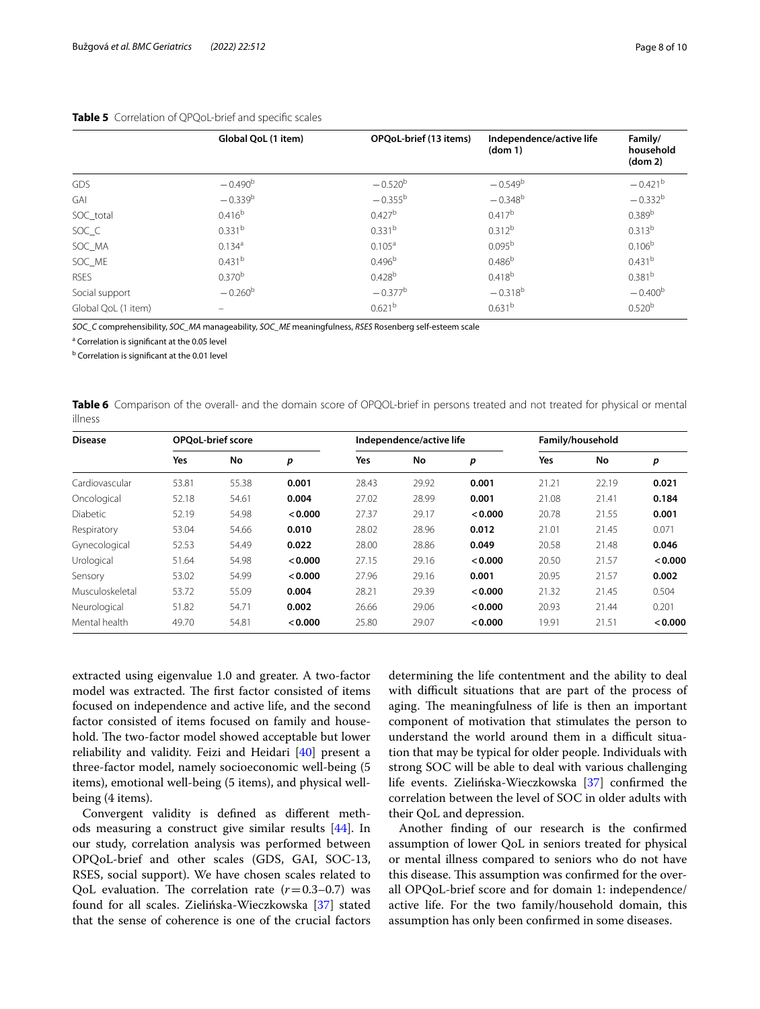|                     | Global QoL (1 item) | OPQoL-brief (13 items) | Independence/active life<br>dom 1) | Family/<br>household<br>dom 2) |
|---------------------|---------------------|------------------------|------------------------------------|--------------------------------|
| GDS                 | $-0.490b$           | $-0.520^{b}$           | $-0.549^b$                         | $-0.421$ <sup>b</sup>          |
| GAI                 | $-0.339^{b}$        | $-0.355^{b}$           | $-0.348^{b}$                       | $-0.332^{b}$                   |
| SOC_total           | 0.416 <sup>b</sup>  | 0.427 <sup>b</sup>     | 0.417 <sup>b</sup>                 | 0.389 <sup>b</sup>             |
| SOC_C               | 0.331 <sup>b</sup>  | 0.331 <sup>b</sup>     | $0.312^{b}$                        | $0.313^{b}$                    |
| SOC_MA              | $0.134^{a}$         | 0.105 <sup>a</sup>     | 0.095 <sup>b</sup>                 | 0.106 <sup>b</sup>             |
| SOC ME              | 0.431 <sup>b</sup>  | 0.496 <sup>b</sup>     | 0.486 <sup>b</sup>                 | 0.431 <sup>b</sup>             |
| <b>RSES</b>         | $0.370^{b}$         | 0.428 <sup>b</sup>     | $0.418^{b}$                        | 0.381 <sup>b</sup>             |
| Social support      | $-0.260^{b}$        | $-0.377^b$             | $-0.318^{b}$                       | $-0.400b$                      |
| Global QoL (1 item) | $\equiv$            | 0.621 <sup>b</sup>     | 0.631 <sup>b</sup>                 | 0.520 <sup>b</sup>             |

#### <span id="page-7-0"></span>**Table 5** Correlation of QPQoL-brief and specifc scales

*SOC\_C* comprehensibility, *SOC\_MA* manageability, *SOC\_ME* meaningfulness, *RSES* Rosenberg self-esteem scale

<sup>a</sup> Correlation is significant at the 0.05 level

<sup>b</sup> Correlation is significant at the 0.01 level

<span id="page-7-1"></span>

|         | Table 6 Comparison of the overall- and the domain score of OPQOL-brief in persons treated and not treated for physical or mental |  |  |  |  |  |  |
|---------|----------------------------------------------------------------------------------------------------------------------------------|--|--|--|--|--|--|
| illness |                                                                                                                                  |  |  |  |  |  |  |

| <b>Disease</b>  |       | <b>OPOoL-brief score</b> |         |       | Independence/active life |         |       | Family/household |         |  |
|-----------------|-------|--------------------------|---------|-------|--------------------------|---------|-------|------------------|---------|--|
|                 | Yes   | No                       | p       | Yes   | No                       | p       | Yes   | No               | р       |  |
| Cardiovascular  | 53.81 | 55.38                    | 0.001   | 28.43 | 29.92                    | 0.001   | 21.21 | 22.19            | 0.021   |  |
| Oncological     | 52.18 | 54.61                    | 0.004   | 27.02 | 28.99                    | 0.001   | 21.08 | 21.41            | 0.184   |  |
| <b>Diabetic</b> | 52.19 | 54.98                    | < 0.000 | 27.37 | 29.17                    | < 0.000 | 20.78 | 21.55            | 0.001   |  |
| Respiratory     | 53.04 | 54.66                    | 0.010   | 28.02 | 28.96                    | 0.012   | 21.01 | 21.45            | 0.071   |  |
| Gynecological   | 52.53 | 54.49                    | 0.022   | 28.00 | 28.86                    | 0.049   | 20.58 | 21.48            | 0.046   |  |
| Urological      | 51.64 | 54.98                    | < 0.000 | 27.15 | 29.16                    | < 0.000 | 20.50 | 21.57            | < 0.000 |  |
| Sensory         | 53.02 | 54.99                    | < 0.000 | 27.96 | 29.16                    | 0.001   | 20.95 | 21.57            | 0.002   |  |
| Musculoskeletal | 53.72 | 55.09                    | 0.004   | 28.21 | 29.39                    | < 0.000 | 21.32 | 21.45            | 0.504   |  |
| Neurological    | 51.82 | 54.71                    | 0.002   | 26.66 | 29.06                    | < 0.000 | 20.93 | 21.44            | 0.201   |  |
| Mental health   | 49.70 | 54.81                    | < 0.000 | 25.80 | 29.07                    | < 0.000 | 19.91 | 21.51            | < 0.000 |  |

extracted using eigenvalue 1.0 and greater. A two-factor model was extracted. The first factor consisted of items focused on independence and active life, and the second factor consisted of items focused on family and household. The two-factor model showed acceptable but lower reliability and validity. Feizi and Heidari [[40](#page-9-15)] present a three-factor model, namely socioeconomic well-being (5 items), emotional well-being (5 items), and physical wellbeing (4 items).

Convergent validity is defned as diferent methods measuring a construct give similar results [\[44](#page-9-19)]. In our study, correlation analysis was performed between OPQoL-brief and other scales (GDS, GAI, SOC-13, RSES, social support). We have chosen scales related to QoL evaluation. The correlation rate  $(r=0.3-0.7)$  was found for all scales. Zielińska-Wieczkowska [[37\]](#page-9-12) stated that the sense of coherence is one of the crucial factors

determining the life contentment and the ability to deal with difficult situations that are part of the process of aging. The meaningfulness of life is then an important component of motivation that stimulates the person to understand the world around them in a difficult situation that may be typical for older people. Individuals with strong SOC will be able to deal with various challenging life events. Zielińska-Wieczkowska [\[37](#page-9-12)] confrmed the correlation between the level of SOC in older adults with their QoL and depression.

Another fnding of our research is the confrmed assumption of lower QoL in seniors treated for physical or mental illness compared to seniors who do not have this disease. This assumption was confirmed for the overall OPQoL-brief score and for domain 1: independence/ active life. For the two family/household domain, this assumption has only been confrmed in some diseases.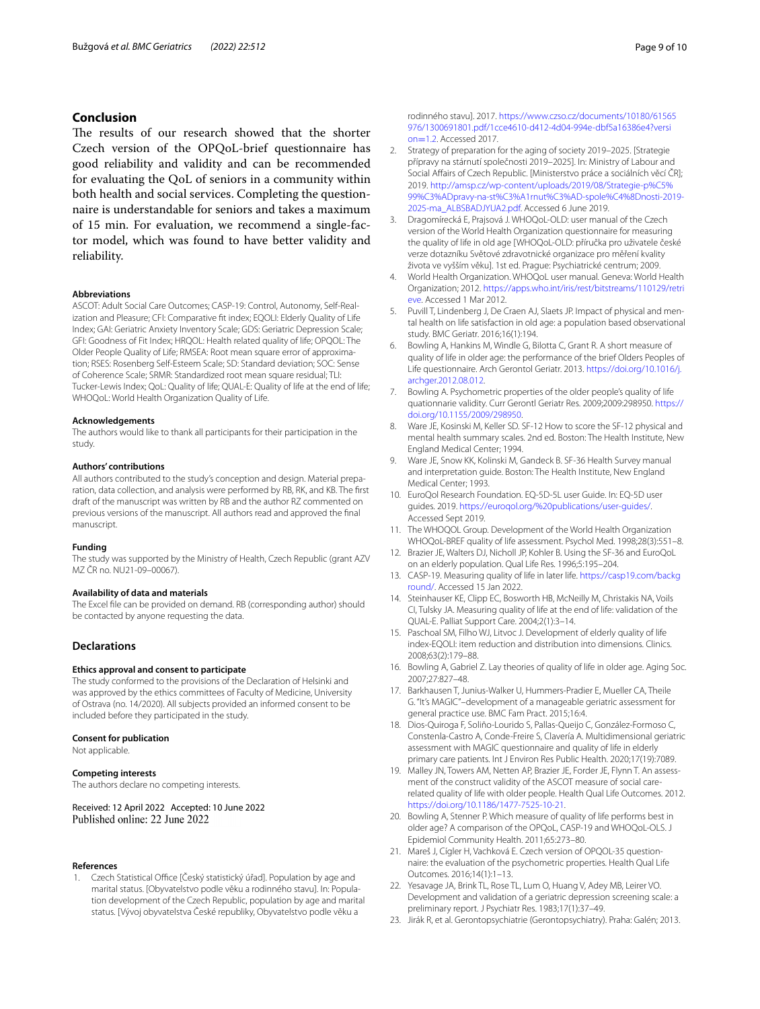# **Conclusion**

The results of our research showed that the shorter Czech version of the OPQoL-brief questionnaire has good reliability and validity and can be recommended for evaluating the QoL of seniors in a community within both health and social services. Completing the questionnaire is understandable for seniors and takes a maximum of 15 min. For evaluation, we recommend a single-factor model, which was found to have better validity and reliability.

#### **Abbreviations**

ASCOT: Adult Social Care Outcomes; CASP-19: Control, Autonomy, Self-Realization and Pleasure; CFI: Comparative ft index; EQOLI: Elderly Quality of Life Index; GAI: Geriatric Anxiety Inventory Scale; GDS: Geriatric Depression Scale; GFI: Goodness of Fit Index; HRQOL: Health related quality of life; OPQOL: The Older People Quality of Life; RMSEA: Root mean square error of approximation; RSES: Rosenberg Self-Esteem Scale; SD: Standard deviation; SOC: Sense of Coherence Scale; SRMR: Standardized root mean square residual; TLI: Tucker-Lewis Index; QoL: Quality of life; QUAL-E: Quality of life at the end of life; WHOQoL: World Health Organization Quality of Life.

#### **Acknowledgements**

The authors would like to thank all participants for their participation in the study.

#### **Authors' contributions**

All authors contributed to the study's conception and design. Material preparation, data collection, and analysis were performed by RB, RK, and KB. The frst draft of the manuscript was written by RB and the author RZ commented on previous versions of the manuscript. All authors read and approved the fnal manuscript.

#### **Funding**

The study was supported by the Ministry of Health, Czech Republic (grant AZV MZ ČR no. NU21-09–00067).

#### **Availability of data and materials**

The Excel fle can be provided on demand. RB (corresponding author) should be contacted by anyone requesting the data.

# **Declarations**

#### **Ethics approval and consent to participate**

The study conformed to the provisions of the Declaration of Helsinki and was approved by the ethics committees of Faculty of Medicine, University of Ostrava (no. 14/2020). All subjects provided an informed consent to be included before they participated in the study.

#### **Consent for publication**

Not applicable.

#### **Competing interests**

The authors declare no competing interests.

Received: 12 April 2022 Accepted: 10 June 2022 Published online: 22 June 2022

#### **References**

<span id="page-8-0"></span>1. Czech Statistical Office [Český statistický úřad]. Population by age and marital status. [Obyvatelstvo podle věku a rodinného stavu]. In: Population development of the Czech Republic, population by age and marital status. [Vývoj obyvatelstva České republiky, Obyvatelstvo podle věku a

rodinného stavu]. 2017. [https://www.czso.cz/documents/10180/61565](https://www.czso.cz/documents/10180/61565976/1300691801.pdf/1cce4610-d412-4d04-994e-dbf5a16386e4?version=1.2) [976/1300691801.pdf/1cce4610-d412-4d04-994e-dbf5a16386e4?versi](https://www.czso.cz/documents/10180/61565976/1300691801.pdf/1cce4610-d412-4d04-994e-dbf5a16386e4?version=1.2) on=1.2. Accessed 2017.

- <span id="page-8-1"></span>2. [Strategy](https://www.czso.cz/documents/10180/61565976/1300691801.pdf/1cce4610-d412-4d04-994e-dbf5a16386e4?version=1.2) of preparation for the aging of society 2019–2025. [Strategie přípravy na stárnutí společnosti 2019–2025]. In: Ministry of Labour and Social Afairs of Czech Republic. [Ministerstvo práce a sociálních věcí ČR]; 2019. [http://amsp.cz/wp-content/uploads/2019/08/Strategie-p%C5%](http://amsp.cz/wp-content/uploads/2019/08/Strategie-p%C5%99%C3%ADpravy-na-st%C3%A1rnut%C3%AD-spole%C4%8Dnosti-2019-2025-ma_ALBSBADJYUA2.pdf) [99%C3%ADpravy-na-st%C3%A1rnut%C3%AD-spole%C4%8Dnosti-2019-](http://amsp.cz/wp-content/uploads/2019/08/Strategie-p%C5%99%C3%ADpravy-na-st%C3%A1rnut%C3%AD-spole%C4%8Dnosti-2019-2025-ma_ALBSBADJYUA2.pdf) [2025-ma\\_ALBSBADJYUA2.pdf](http://amsp.cz/wp-content/uploads/2019/08/Strategie-p%C5%99%C3%ADpravy-na-st%C3%A1rnut%C3%AD-spole%C4%8Dnosti-2019-2025-ma_ALBSBADJYUA2.pdf). Accessed 6 June 2019.
- <span id="page-8-2"></span>3. Dragomírecká E, Prajsová J. WHOQoL-OLD: user manual of the Czech version of the World Health Organization questionnaire for measuring the quality of life in old age [WHOQoL-OLD: příručka pro uživatele české verze dotazníku Světové zdravotnické organizace pro měření kvality života ve vyšším věku]. 1st ed. Prague: Psychiatrické centrum; 2009.
- <span id="page-8-3"></span>4. World Health Organization. WHOQoL user manual. Geneva: World Health Organization; 2012. [https://apps.who.int/iris/rest/bitstreams/110129/retri](https://apps.who.int/iris/rest/bitstreams/110129/retrieve) [eve](https://apps.who.int/iris/rest/bitstreams/110129/retrieve). Accessed 1 Mar 2012.
- <span id="page-8-4"></span>5. Puvill T, Lindenberg J, De Craen AJ, Slaets JP. Impact of physical and mental health on life satisfaction in old age: a population based observational study. BMC Geriatr. 2016;16(1):194.
- <span id="page-8-5"></span>6. Bowling A, Hankins M, Windle G, Bilotta C, Grant R. A short measure of quality of life in older age: the performance of the brief Olders Peoples of Life questionnaire. Arch Gerontol Geriatr. 2013. [https://doi.org/10.1016/j.](https://doi.org/10.1016/j.archger.2012.08.012) [archger.2012.08.012](https://doi.org/10.1016/j.archger.2012.08.012).
- <span id="page-8-6"></span>7. Bowling A. Psychometric properties of the older people's quality of life quationnarie validity. Curr Gerontl Geriatr Res. 2009;2009:298950. [https://](https://doi.org/10.1155/2009/298950) [doi.org/10.1155/2009/298950.](https://doi.org/10.1155/2009/298950)
- <span id="page-8-7"></span>8. Ware JE, Kosinski M, Keller SD. SF-12 How to score the SF-12 physical and mental health summary scales. 2nd ed. Boston: The Health Institute, New England Medical Center; 1994.
- <span id="page-8-8"></span>9. Ware JE, Snow KK, Kolinski M, Gandeck B. SF-36 Health Survey manual and interpretation guide. Boston: The Health Institute, New England Medical Center; 1993.
- <span id="page-8-9"></span>10. EuroQol Research Foundation. EQ-5D-5L user Guide. In: EQ-5D user guides. 2019.<https://euroqol.org/%20publications/user-guides/>. Accessed Sept 2019.
- <span id="page-8-10"></span>11. The WHOQOL Group. Development of the World Health Organization WHOQoL-BREF quality of life assessment. Psychol Med. 1998;28(3):551–8.
- <span id="page-8-11"></span>12. Brazier JE, Walters DJ, Nicholl JP, Kohler B. Using the SF-36 and EuroQoL on an elderly population. Qual Life Res. 1996;5:195–204.
- <span id="page-8-12"></span>13. CASP-19. Measuring quality of life in later life. [https://casp19.com/backg](https://casp19.com/background/) [round/.](https://casp19.com/background/) Accessed 15 Jan 2022.
- <span id="page-8-13"></span>14. Steinhauser KE, Clipp EC, Bosworth HB, McNeilly M, Christakis NA, Voils CI, Tulsky JA. Measuring quality of life at the end of life: validation of the QUAL-E. Palliat Support Care. 2004;2(1):3–14.
- <span id="page-8-14"></span>15. Paschoal SM, Filho WJ, Litvoc J. Development of elderly quality of life index-EQOLI: item reduction and distribution into dimensions. Clinics. 2008;63(2):179–88.
- <span id="page-8-15"></span>16. Bowling A, Gabriel Z. Lay theories of quality of life in older age. Aging Soc. 2007;27:827–48.
- <span id="page-8-16"></span>17. Barkhausen T, Junius-Walker U, Hummers-Pradier E, Mueller CA, Theile G. "It's MAGIC"–development of a manageable geriatric assessment for general practice use. BMC Fam Pract. 2015;16:4.
- <span id="page-8-17"></span>18. Dios-Quiroga F, Soliño-Lourido S, Pallas-Queijo C, González-Formoso C, Constenla-Castro A, Conde-Freire S, Clavería A. Multidimensional geriatric assessment with MAGIC questionnaire and quality of life in elderly primary care patients. Int J Environ Res Public Health. 2020;17(19):7089.
- <span id="page-8-18"></span>19. Malley JN, Towers AM, Netten AP, Brazier JE, Forder JE, Flynn T. An assessment of the construct validity of the ASCOT measure of social carerelated quality of life with older people. Health Qual Life Outcomes. 2012. <https://doi.org/10.1186/1477-7525-10-21>.
- <span id="page-8-19"></span>20. Bowling A, Stenner P. Which measure of quality of life performs best in older age? A comparison of the OPQoL, CASP-19 and WHOQoL-OLS. J Epidemiol Community Health. 2011;65:273–80.
- <span id="page-8-20"></span>21. Mareš J, Cígler H, Vachková E. Czech version of OPQOL-35 questionnaire: the evaluation of the psychometric properties. Health Qual Life Outcomes. 2016;14(1):1–13.
- <span id="page-8-21"></span>22. Yesavage JA, Brink TL, Rose TL, Lum O, Huang V, Adey MB, Leirer VO. Development and validation of a geriatric depression screening scale: a preliminary report. J Psychiatr Res. 1983;17(1):37–49.
- <span id="page-8-22"></span>23. Jirák R, et al. Gerontopsychiatrie (Gerontopsychiatry). Praha: Galén; 2013.